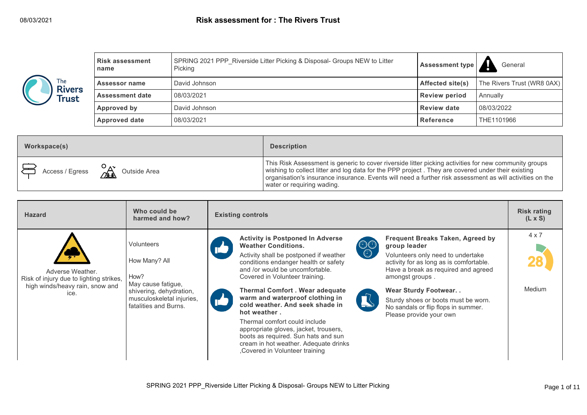|                               | <b>Risk assessment</b><br>name | SPRING 2021 PPP Riverside Litter Picking & Disposal- Groups NEW to Litter<br>Picking | <b>Assessment type</b>  | General                    |
|-------------------------------|--------------------------------|--------------------------------------------------------------------------------------|-------------------------|----------------------------|
| The<br><b>Rivers</b><br>Trust | <b>Assessor name</b>           | David Johnson                                                                        | <b>Affected site(s)</b> | The Rivers Trust (WR8 0AX) |
|                               | <b>Assessment date</b>         | 08/03/2021                                                                           | <b>Review period</b>    | Annually                   |
|                               | Approved by                    | David Johnson                                                                        | <b>Review date</b>      | 08/03/2022                 |
|                               | <b>Approved date</b>           | 08/03/2021                                                                           | Reference               | THE1101966                 |

| Workspace(s)                                                           | <b>Description</b>                                                                                                                                                                                                                                                                                                                                   |
|------------------------------------------------------------------------|------------------------------------------------------------------------------------------------------------------------------------------------------------------------------------------------------------------------------------------------------------------------------------------------------------------------------------------------------|
| $\overrightarrow{C}$ Access / Egress $\overrightarrow{C}$ Outside Area | This Risk Assessment is generic to cover riverside litter picking activities for new community groups<br>wishing to collect litter and log data for the PPP project. They are covered under their existing<br>organisation's insurance insurance. Events will need a further risk assessment as will activities on the<br>water or requiring wading. |

| <b>Hazard</b>                                                                                          | Who could be<br>harmed and how?                                                                                                            | <b>Existing controls</b>                                                                                                                                                                                                                                                                                                                                                                                                                                                                                                                                                                                                                                                                                                                                                                                                                                                                                                                                                                 | <b>Risk rating</b><br>$(L \times S)$ |
|--------------------------------------------------------------------------------------------------------|--------------------------------------------------------------------------------------------------------------------------------------------|------------------------------------------------------------------------------------------------------------------------------------------------------------------------------------------------------------------------------------------------------------------------------------------------------------------------------------------------------------------------------------------------------------------------------------------------------------------------------------------------------------------------------------------------------------------------------------------------------------------------------------------------------------------------------------------------------------------------------------------------------------------------------------------------------------------------------------------------------------------------------------------------------------------------------------------------------------------------------------------|--------------------------------------|
| Adverse Weather.<br>Risk of injury due to lighting strikes,<br>high winds/heavy rain, snow and<br>ice. | Volunteers<br>How Many? All<br>How?<br>May cause fatigue,<br>shivering, dehydration,<br>musculoskeletal injuries,<br>fatalities and Burns. | <b>Activity is Postponed In Adverse</b><br><b>Frequent Breaks Taken, Agreed by</b><br>$\begin{matrix} \mathbb{O} & \mathbb{O} \\ \mathbb{O} & \mathbb{O} \end{matrix}$<br><b>Weather Conditions.</b><br>group leader<br>Activity shall be postponed if weather<br>Volunteers only need to undertake<br>conditions endanger health or safety<br>activity for as long as is comfortable.<br>and /or would be uncomfortable.<br>Have a break as required and agreed<br>Covered in Volunteer training.<br>amongst groups.<br><b>Thermal Comfort . Wear adequate</b><br><b>Wear Sturdy Footwear</b><br>warm and waterproof clothing in<br>Sturdy shoes or boots must be worn.<br>cold weather. And seek shade in<br>No sandals or flip flops in summer.<br>hot weather.<br>Please provide your own<br>Thermal comfort could include<br>appropriate gloves, jacket, trousers,<br>boots as required. Sun hats and sun<br>cream in hot weather. Adequate drinks<br>Covered in Volunteer training | $4 \times 7$<br>Medium               |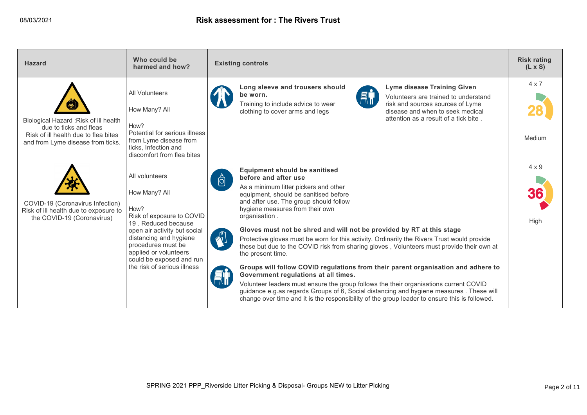| <b>Hazard</b>                                                                                                                                | Who could be<br>harmed and how?                                                                                                                                                                                                                                 | <b>Existing controls</b>                                                                                                                                                                                                                                                                                                                                                                                                                                                                                                                                                                                                                                                                                                                                                                                                                                                                                                                                                                                 | <b>Risk rating</b><br>$(L \times S)$ |
|----------------------------------------------------------------------------------------------------------------------------------------------|-----------------------------------------------------------------------------------------------------------------------------------------------------------------------------------------------------------------------------------------------------------------|----------------------------------------------------------------------------------------------------------------------------------------------------------------------------------------------------------------------------------------------------------------------------------------------------------------------------------------------------------------------------------------------------------------------------------------------------------------------------------------------------------------------------------------------------------------------------------------------------------------------------------------------------------------------------------------------------------------------------------------------------------------------------------------------------------------------------------------------------------------------------------------------------------------------------------------------------------------------------------------------------------|--------------------------------------|
| Biological Hazard: Risk of ill health<br>due to ticks and fleas<br>Risk of ill health due to flea bites<br>and from Lyme disease from ticks. | All Volunteers<br>How Many? All<br>How?<br>Potential for serious illness<br>from Lyme disease from<br>ticks, Infection and<br>discomfort from flea bites                                                                                                        | Long sleeve and trousers should<br><b>Lyme disease Training Given</b><br><b>AT</b><br>be worn.<br>Volunteers are trained to understand<br>Training to include advice to wear<br>risk and sources sources of Lyme<br>disease and when to seek medical<br>clothing to cover arms and legs<br>attention as a result of a tick bite.                                                                                                                                                                                                                                                                                                                                                                                                                                                                                                                                                                                                                                                                         | $4 \times 7$<br>Medium               |
| COVID-19 (Coronavirus Infection)<br>Risk of ill health due to exposure to<br>the COVID-19 (Coronavirus)                                      | All volunteers<br>How Many? All<br>How?<br>Risk of exposure to COVID<br>19. Reduced because<br>open air activity but social<br>distancing and hygiene<br>procedures must be<br>applied or volunteers<br>could be exposed and run<br>the risk of serious illness | <b>Equipment should be sanitised</b><br>before and after use<br>$\ddot{\circ}$<br>As a minimum litter pickers and other<br>equipment, should be sanitised before<br>and after use. The group should follow<br>hygiene measures from their own<br>organisation.<br>Gloves must not be shred and will not be provided by RT at this stage<br>$\mathbb{Z}^{\mathbb{Z}}$<br>Protective gloves must be worn for this activity. Ordinarily the Rivers Trust would provide<br>these but due to the COVID risk from sharing gloves, Volunteers must provide their own at<br>the present time.<br>Groups will follow COVID regulations from their parent organisation and adhere to<br>Government regulations at all times.<br>Volunteer leaders must ensure the group follows the their organisations current COVID<br>guidance e.g.as regards Groups of 6, Social distancing and hygiene measures . These will<br>change over time and it is the responsibility of the group leader to ensure this is followed. | $4 \times 9$<br>High                 |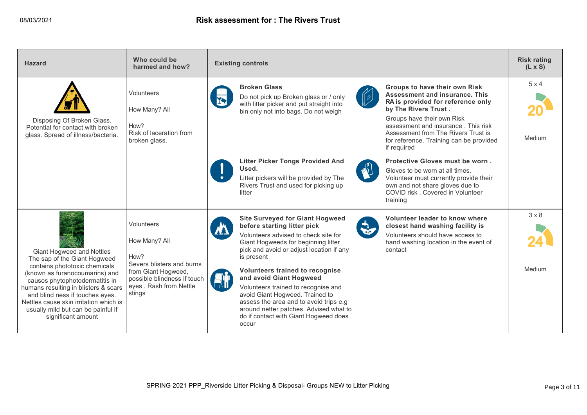| <b>Hazard</b>                                                                                                                                                                                                                                                                      | Who could be<br>harmed and how?                                                                                      | <b>Existing controls</b>                                                                                                                                                                                                                                                                                                                                                                                                                                                 | <b>Risk rating</b><br>$(L \times S)$ |
|------------------------------------------------------------------------------------------------------------------------------------------------------------------------------------------------------------------------------------------------------------------------------------|----------------------------------------------------------------------------------------------------------------------|--------------------------------------------------------------------------------------------------------------------------------------------------------------------------------------------------------------------------------------------------------------------------------------------------------------------------------------------------------------------------------------------------------------------------------------------------------------------------|--------------------------------------|
| Disposing Of Broken Glass.<br>Potential for contact with broken<br>glass. Spread of illness/bacteria.                                                                                                                                                                              | Volunteers<br>How Many? All<br>How?<br>Risk of laceration from<br>broken glass.                                      | <b>Broken Glass</b><br>Groups to have their own Risk<br>Assessment and insurance. This<br><b>COLLEGE</b><br>Do not pick up Broken glass or / only<br>RA is provided for reference only<br>with litter picker and put straight into<br>by The Rivers Trust.<br>bin only not into bags. Do not weigh<br>Groups have their own Risk<br>assessment and insurance. This risk<br>Assessment from The Rivers Trust is<br>for reference. Training can be provided<br>if required | $5 \times 4$<br>Medium               |
|                                                                                                                                                                                                                                                                                    |                                                                                                                      | Protective Gloves must be worn.<br><b>Litter Picker Tongs Provided And</b><br><b>Miles</b><br>Used.<br>Gloves to be worn at all times.<br>Litter pickers will be provided by The<br>Volunteer must currently provide their<br>Rivers Trust and used for picking up<br>own and not share gloves due to<br>COVID risk, Covered in Volunteer<br>litter<br>training                                                                                                          |                                      |
| <b>Giant Hogweed and Nettles</b><br>The sap of the Giant Hogweed                                                                                                                                                                                                                   | Volunteers<br>How Many? All<br>How?                                                                                  | <b>Site Surveyed for Giant Hogweed</b><br>Volunteer leader to know where<br><b>RAN</b><br>before starting litter pick<br>closest hand washing facility is<br>Volunteers advised to check site for<br>Volunteers should have access to<br>Giant Hogweeds for beginning litter<br>hand washing location in the event of<br>pick and avoid or adjust location if any<br>contact<br>is present                                                                               | $3 \times 8$                         |
| contains phototoxic chemicals<br>(known as furanocoumarins) and<br>causes phytophotodermatitis in<br>humans resulting in blisters & scars<br>and blind ness if touches eyes.<br>Nettles cause skin irritation which is<br>usually mild but can be painful if<br>significant amount | Severs blisters and burns<br>from Giant Hogweed,<br>possible blindness if touch<br>eyes . Rash from Nettle<br>stings | <b>Volunteers trained to recognise</b><br>and avoid Giant Hogweed<br>Volunteers trained to recognise and<br>avoid Giant Hogweed. Trained to<br>assess the area and to avoid trips e.g.<br>around netter patches. Advised what to<br>do if contact with Giant Hogweed does<br>occur                                                                                                                                                                                       | Medium                               |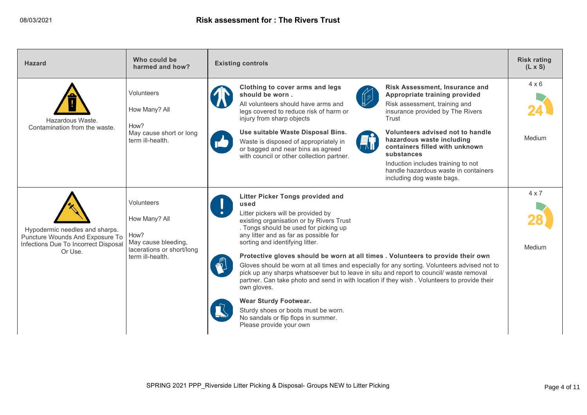| <b>Hazard</b>                                                                                                        | Who could be<br>harmed and how?                                                                             | <b>Existing controls</b>                                                                                                                                                                                                                                                                                                                                                                                                                                                                                                                                                                                                                                                                                                                                                                    | <b>Risk rating</b><br>$(L \times S)$ |
|----------------------------------------------------------------------------------------------------------------------|-------------------------------------------------------------------------------------------------------------|---------------------------------------------------------------------------------------------------------------------------------------------------------------------------------------------------------------------------------------------------------------------------------------------------------------------------------------------------------------------------------------------------------------------------------------------------------------------------------------------------------------------------------------------------------------------------------------------------------------------------------------------------------------------------------------------------------------------------------------------------------------------------------------------|--------------------------------------|
| Hazardous Waste.<br>Contamination from the waste.                                                                    | Volunteers<br>How Many? All<br>How?<br>May cause short or long<br>term ill-health.                          | Clothing to cover arms and legs<br><b>Risk Assessment, Insurance and</b><br>should be worn.<br>Appropriate training provided<br><b>CONSECTED</b><br>All volunteers should have arms and<br>Risk assessment, training and<br>legs covered to reduce risk of harm or<br>insurance provided by The Rivers<br>injury from sharp objects<br>Trust<br>Use suitable Waste Disposal Bins.<br>Volunteers advised not to handle<br>hazardous waste including<br>Waste is disposed of appropriately in<br>containers filled with unknown<br>or bagged and near bins as agreed<br>substances<br>with council or other collection partner.<br>Induction includes training to not<br>handle hazardous waste in containers<br>including dog waste bags.                                                    | $4 \times 6$<br>Medium               |
| Hypodermic needles and sharps.<br>Puncture Wounds And Exposure To<br>Infections Due To Incorrect Disposal<br>Or Use. | Volunteers<br>How Many? All<br>How?<br>May cause bleeding,<br>lacerations or short/long<br>term ill-health. | <b>Litter Picker Tongs provided and</b><br>used<br>Litter pickers will be provided by<br>existing organisation or by Rivers Trust<br>. Tongs should be used for picking up<br>any litter and as far as possible for<br>sorting and identifying litter.<br>Protective gloves should be worn at all times . Volunteers to provide their own<br>Gloves should be worn at all times and especially for any sorting. Volunteers advised not to<br>pick up any sharps whatsoever but to leave in situ and report to council/ waste removal<br>partner. Can take photo and send in with location if they wish. Volunteers to provide their<br>own gloves.<br><b>Wear Sturdy Footwear.</b><br>Sturdy shoes or boots must be worn.<br>No sandals or flip flops in summer.<br>Please provide your own | $4 \times 7$<br>Medium               |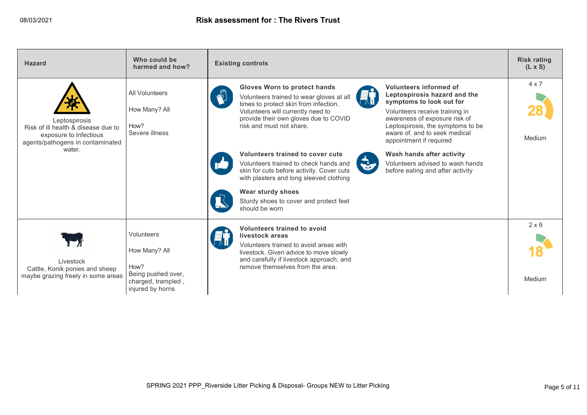| <b>Hazard</b>                                                                                                                | Who could be<br>harmed and how?                              | <b>Existing controls</b>                                                                                                                                                                                                                                                                                                                                                                                                                                                                                                                 | <b>Risk rating</b><br>$(L \times S)$ |
|------------------------------------------------------------------------------------------------------------------------------|--------------------------------------------------------------|------------------------------------------------------------------------------------------------------------------------------------------------------------------------------------------------------------------------------------------------------------------------------------------------------------------------------------------------------------------------------------------------------------------------------------------------------------------------------------------------------------------------------------------|--------------------------------------|
| Leptospirosis<br>Risk of ill health & disease due to<br>exposure to infectious<br>agents/pathogens in contaminated<br>water. | All Volunteers<br>How Many? All<br>How?<br>Severe illness    | <b>Gloves Worn to protect hands</b><br>Volunteers informed of<br>$\mathbf{w}^{\mathbb{P}}$<br>Leptospirosis hazard and the<br><b>e</b> ti<br>Volunteers trained to wear gloves at all<br>symptoms to look out for<br>times to protect skin from infection.<br>Volunteers will currently need to<br>Volunteers receive training in<br>provide their own gloves due to COVID<br>awareness of exposure risk of<br>risk and must not share.<br>Leptospirosis, the symptoms to be<br>aware of, and to seek medical<br>appointment if required | $4 \times 7$<br>Medium               |
|                                                                                                                              |                                                              | Volunteers trained to cover cuts<br>Wash hands after activity<br>$\ddot{\mathbf{v}}$<br>Volunteers trained to check hands and<br>Volunteers advised to wash hands<br>skin for cuts before activity. Cover cuts<br>before eating and after activity<br>with plasters and long sleeved clothing<br>Wear sturdy shoes<br>Sturdy shoes to cover and protect feet<br>should be worn                                                                                                                                                           |                                      |
| Livestock<br>Cattle, Konik ponies and sheep                                                                                  | Volunteers<br>How Many? All<br>How?                          | Volunteers trained to avoid<br>livestock areas<br>Volunteers trained to avoid areas with<br>livestock. Given advice to move slowly<br>and carefully if livestock approach, and<br>remove themselves from the area.                                                                                                                                                                                                                                                                                                                       | $2 \times 9$                         |
| maybe grazing freely in some areas                                                                                           | Being pushed over,<br>charged, trampled,<br>injured by horns |                                                                                                                                                                                                                                                                                                                                                                                                                                                                                                                                          | Medium                               |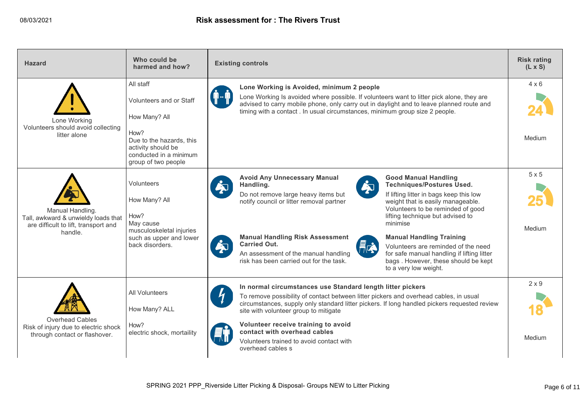| <b>Hazard</b>                                                                                              | Who could be<br>harmed and how?                                                                         | <b>Existing controls</b>                                                                                                                                                                                                                                                                                                                                         | <b>Risk rating</b><br>$(L \times S)$ |
|------------------------------------------------------------------------------------------------------------|---------------------------------------------------------------------------------------------------------|------------------------------------------------------------------------------------------------------------------------------------------------------------------------------------------------------------------------------------------------------------------------------------------------------------------------------------------------------------------|--------------------------------------|
| Lone Working<br>Volunteers should avoid collecting                                                         | All staff<br>Volunteers and or Staff<br>How Many? All                                                   | Lone Working is Avoided, minimum 2 people<br>Lone Working Is avoided where possible. If volunteers want to litter pick alone, they are<br>advised to carry mobile phone, only carry out in daylight and to leave planned route and<br>timing with a contact . In usual circumstances, minimum group size 2 people.                                               | $4 \times 6$                         |
| litter alone                                                                                               | How?<br>Due to the hazards, this<br>activity should be<br>conducted in a minimum<br>group of two people |                                                                                                                                                                                                                                                                                                                                                                  | Medium                               |
|                                                                                                            | Volunteers<br>How Many? All                                                                             | <b>Avoid Any Unnecessary Manual</b><br><b>Good Manual Handling</b><br>$\dot{\boldsymbol{\gamma}}$<br><b>Techniques/Postures Used.</b><br>Handling.<br>ĚT<br>Do not remove large heavy items but<br>If lifting litter in bags keep this low<br>notify council or litter removal partner<br>weight that is easily manageable.<br>Volunteers to be reminded of good | $5 \times 5$                         |
| Manual Handling.<br>Tall, awkward & unwieldy loads that<br>are difficult to lift, transport and<br>handle. | How?<br>May cause<br>musculoskeletal injuries<br>such as upper and lower                                | lifting technique but advised to<br>minimise<br><b>Manual Handling Risk Assessment</b><br><b>Manual Handling Training</b>                                                                                                                                                                                                                                        | Medium                               |
|                                                                                                            | back disorders.                                                                                         | $\dot{\boldsymbol{\mu}}$<br><b>Carried Out.</b><br>Fra<br>Volunteers are reminded of the need<br>An assessment of the manual handling<br>for safe manual handling if lifting litter<br>risk has been carried out for the task.<br>bags. However, these should be kept<br>to a very low weight.                                                                   |                                      |
|                                                                                                            | <b>All Volunteers</b>                                                                                   | In normal circumstances use Standard length litter pickers<br>To remove possibility of contact between litter pickers and overhead cables, in usual                                                                                                                                                                                                              | $2 \times 9$                         |
|                                                                                                            | How Many? ALL                                                                                           | circumstances, supply only standard litter pickers. If long handled pickers requested review<br>site with volunteer group to mitigate                                                                                                                                                                                                                            |                                      |
| Overhead Cables<br>Risk of injury due to electric shock<br>through contact or flashover.                   | How?<br>electric shock, mortaility                                                                      | Volunteer receive training to avoid<br>contact with overhead cables<br>Volunteers trained to avoid contact with<br>overhead cables s                                                                                                                                                                                                                             | Medium                               |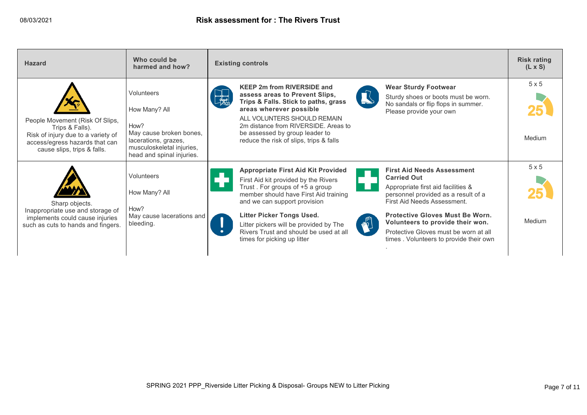| <b>Hazard</b>                                                                                                                                             | Who could be<br>harmed and how?                                                                                                                  | <b>Existing controls</b>                                                                                                                                                                                                                                                                                                                                                                                                                                                                                                                                                                                                                                                                  | <b>Risk rating</b><br>$(L \times S)$ |
|-----------------------------------------------------------------------------------------------------------------------------------------------------------|--------------------------------------------------------------------------------------------------------------------------------------------------|-------------------------------------------------------------------------------------------------------------------------------------------------------------------------------------------------------------------------------------------------------------------------------------------------------------------------------------------------------------------------------------------------------------------------------------------------------------------------------------------------------------------------------------------------------------------------------------------------------------------------------------------------------------------------------------------|--------------------------------------|
| People Movement (Risk Of Slips,<br>Trips & Falls).<br>Risk of injury due to a variety of<br>access/egress hazards that can<br>cause slips, trips & falls. | Volunteers<br>How Many? All<br>How?<br>May cause broken bones,<br>lacerations, grazes,<br>musculoskeletal injuries,<br>head and spinal injuries. | <b>KEEP 2m from RIVERSIDE and</b><br><b>Wear Sturdy Footwear</b><br>assess areas to Prevent Slips,<br>Sturdy shoes or boots must be worn.<br>Trips & Falls. Stick to paths, grass<br>No sandals or flip flops in summer.<br>areas wherever possible<br>Please provide your own<br>ALL VOLUNTERS SHOULD REMAIN<br>2m distance from RIVERSIDE. Areas to<br>be assessed by group leader to<br>reduce the risk of slips, trips & falls                                                                                                                                                                                                                                                        | 5x5<br>Medium                        |
| Sharp objects.<br>Inappropriate use and storage of<br>implements could cause injuries<br>such as cuts to hands and fingers.                               | Volunteers<br>How Many? All<br>How?<br>May cause lacerations and<br>bleeding.                                                                    | <b>Appropriate First Aid Kit Provided</b><br><b>First Aid Needs Assessment</b><br><b>Carried Out</b><br>First Aid kit provided by the Rivers<br>Trust. For groups of +5 a group<br>H.<br>Appropriate first aid facilities &<br>member should have First Aid training<br>personnel provided as a result of a<br>First Aid Needs Assessment.<br>and we can support provision<br>Litter Picker Tongs Used.<br>Protective Gloves Must Be Worn.<br>W<br>Volunteers to provide their won.<br>Litter pickers will be provided by The<br>Rivers Trust and should be used at all<br>Protective Gloves must be worn at all<br>times for picking up litter<br>times. Volunteers to provide their own | 5x5<br>Medium                        |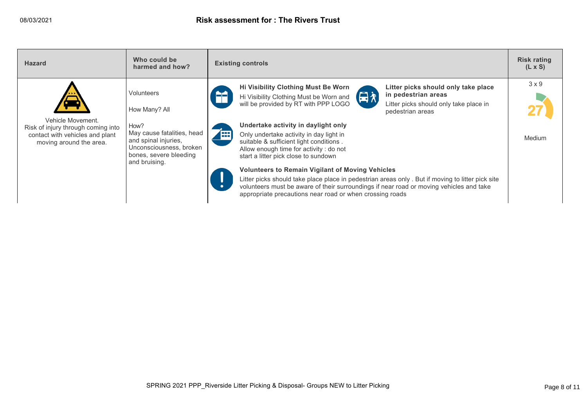| <b>Hazard</b>                                                                                                         | Who could be<br>harmed and how?                                                                                                  |            | <b>Existing controls</b>                                                                                                                                                                                                                                                                                           | <b>Risk rating</b><br>$(L \times S)$ |
|-----------------------------------------------------------------------------------------------------------------------|----------------------------------------------------------------------------------------------------------------------------------|------------|--------------------------------------------------------------------------------------------------------------------------------------------------------------------------------------------------------------------------------------------------------------------------------------------------------------------|--------------------------------------|
|                                                                                                                       | Volunteers<br>How Many? All                                                                                                      | A1         | Litter picks should only take place<br>Hi Visibility Clothing Must Be Worn<br>Hi Visibility Clothing Must be Worn and<br>in pedestrian areas<br>will be provided by RT with PPP LOGO<br>Litter picks should only take place in<br>pedestrian areas                                                                 | $3 \times 9$                         |
| Vehicle Movement.<br>Risk of injury through coming into<br>contact with vehicles and plant<br>moving around the area. | How?<br>May cause fatalities, head<br>and spinal injuries,<br>Unconsciousness, broken<br>bones, severe bleeding<br>and bruising. | <b>FEE</b> | Undertake activity in daylight only<br>Only undertake activity in day light in<br>suitable & sufficient light conditions.<br>Allow enough time for activity: do not<br>start a litter pick close to sundown                                                                                                        | Medium                               |
|                                                                                                                       |                                                                                                                                  | $\bullet$  | <b>Volunteers to Remain Vigilant of Moving Vehicles</b><br>Litter picks should take place place in pedestrian areas only. But if moving to litter pick site<br>volunteers must be aware of their surroundings if near road or moving vehicles and take<br>appropriate precautions near road or when crossing roads |                                      |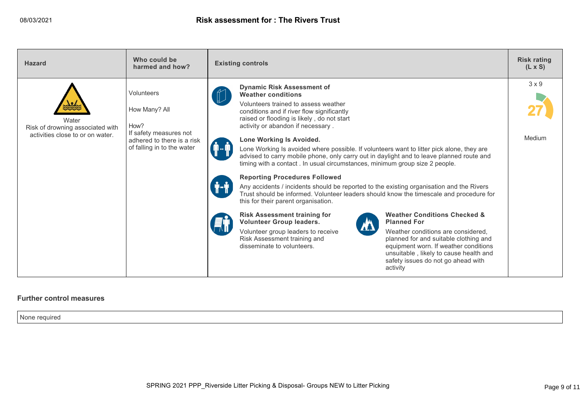| <b>Hazard</b>                                                                 | Who could be<br>harmed and how?                                                                                           | <b>Existing controls</b>                                                                                                                                                                                                                                                                                                                                                                                                                                                                                                                                                                                                                                                                                                                                                                                                                                                                                                                                                                                                                                                                                                                                                                                                                                                             | <b>Risk rating</b><br>$(L \times S)$ |
|-------------------------------------------------------------------------------|---------------------------------------------------------------------------------------------------------------------------|--------------------------------------------------------------------------------------------------------------------------------------------------------------------------------------------------------------------------------------------------------------------------------------------------------------------------------------------------------------------------------------------------------------------------------------------------------------------------------------------------------------------------------------------------------------------------------------------------------------------------------------------------------------------------------------------------------------------------------------------------------------------------------------------------------------------------------------------------------------------------------------------------------------------------------------------------------------------------------------------------------------------------------------------------------------------------------------------------------------------------------------------------------------------------------------------------------------------------------------------------------------------------------------|--------------------------------------|
| Water<br>Risk of drowning associated with<br>activities close to or on water. | Volunteers<br>How Many? All<br>How?<br>If safety measures not<br>adhered to there is a risk<br>of falling in to the water | <b>Dynamic Risk Assessment of</b><br><b>Weather conditions</b><br>Volunteers trained to assess weather<br>conditions and if river flow significantly<br>raised or flooding is likely, do not start<br>activity or abandon if necessary.<br>Lone Working Is Avoided.<br>Lone Working Is avoided where possible. If volunteers want to litter pick alone, they are<br>advised to carry mobile phone, only carry out in daylight and to leave planned route and<br>timing with a contact. In usual circumstances, minimum group size 2 people.<br><b>Reporting Procedures Followed</b><br>Any accidents / incidents should be reported to the existing organisation and the Rivers<br>Trust should be informed. Volunteer leaders should know the timescale and procedure for<br>this for their parent organisation.<br><b>Weather Conditions Checked &amp;</b><br><b>Risk Assessment training for</b><br><b>Volunteer Group leaders.</b><br><b>Planned For</b><br>Volunteer group leaders to receive<br>Weather conditions are considered.<br>Risk Assessment training and<br>planned for and suitable clothing and<br>disseminate to volunteers.<br>equipment worn. If weather conditions<br>unsuitable, likely to cause health and<br>safety issues do not go ahead with<br>activity | $3 \times 9$<br>Medium               |

## **Further control measures**

None required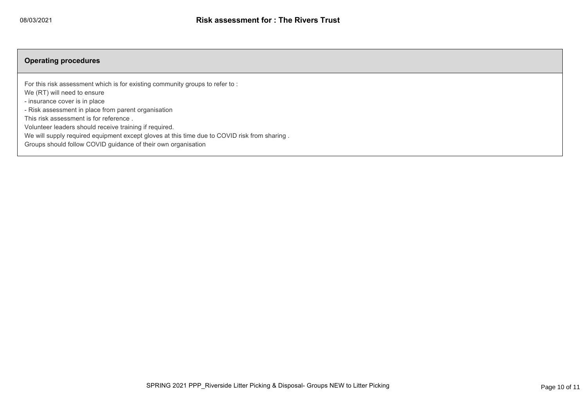## **Operating procedures**

For this risk assessment which is for existing community groups to refer to :

We (RT) will need to ensure

- insurance cover is in place

- Risk assessment in place from parent organisation

This risk assessment is for reference .

Volunteer leaders should receive training if required.

We will supply required equipment except gloves at this time due to COVID risk from sharing .

Groups should follow COVID guidance of their own organisation